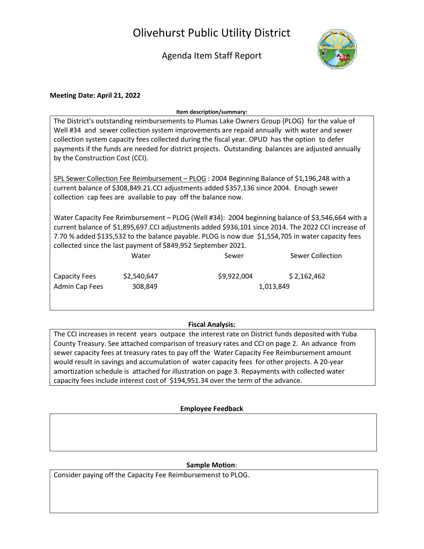# Olivehurst Public Utility District

# Agenda Item Staff Report



## Meeting Date: April 21, 2022

#### Item description/summary:

| The District's outstanding reimbursements to Plumas Lake Owners Group (PLOG) for the value of      |
|----------------------------------------------------------------------------------------------------|
| Well #34 and sewer collection system improvements are repaid annually with water and sewer         |
| collection system capacity fees collected during the fiscal year. OPUD has the option to defer     |
| payments if the funds are needed for district projects. Outstanding balances are adjusted annually |
| by the Construction Cost (CCI).                                                                    |

SPL Sewer Collection Fee Reimbursement – PLOG : 2004 Beginning Balance of \$1,196,248 with a current balance of \$308,849.21.CCI adjustments added \$357,136 since 2004. Enough sewer collection cap fees are available to pay off the balance now.

Water Capacity Fee Reimbursement – PLOG (Well #34): 2004 beginning balance of \$3,546,664 with a current balance of \$1,895,697.CCI adjustments added \$936,101 since 2014. The 2022 CCI increase of 7.70 % added \$135,532 to the balance payable. PLOG is now due \$1,554,705 in water capacity fees collected since the last payment of \$849,952 September 2021.

|                | Water       | Sewer       | Sewer Collection |
|----------------|-------------|-------------|------------------|
| Capacity Fees  | \$2,540,647 | \$9,922,004 | \$2,162,462      |
| Admin Cap Fees | 308,849     |             | 1,013,849        |

## Fiscal Analysis:

The CCI increases in recent years outpace the interest rate on District funds deposited with Yuba County Treasury. See attached comparison of treasury rates and CCI on page 2. An advance from sewer capacity fees at treasury rates to pay off the Water Capacity Fee Reimbursement amount would result in savings and accumulation of water capacity fees for other projects. A 20-year amortization schedule is attached for illustration on page 3. Repayments with collected water capacity fees include interest cost of \$194,951.34 over the term of the advance.

### Employee Feedback

### Sample Motion:

Consider paying off the Capacity Fee Reimbursemenst to PLOG.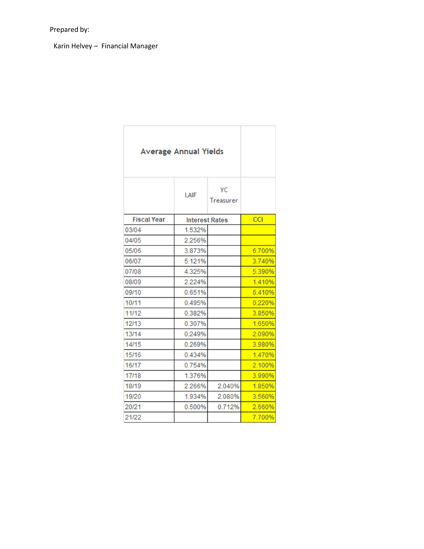Karin Helvey – Financial Manager

|                    | <b>Average Annual Yields</b> |                        |            |
|--------------------|------------------------------|------------------------|------------|
|                    | LAIF                         | YC<br><b>Treasurer</b> |            |
| <b>Fiscal Year</b> | <b>Interest Rates</b>        |                        | <b>CCI</b> |
| 03/04              | 1.532%                       |                        |            |
| 04/05              | 2.256%                       |                        |            |
| 05/06              | 3.873%                       |                        | 6.700%     |
| 06/07              | 5.121%                       |                        | 3.740%     |
| 07/08              | 4.325%                       |                        | 5.390%     |
| 08/09              | 2.224%                       |                        | 1.410%     |
| 09/10              | 0.651%                       |                        | 6.410%     |
| 10/11              | 0.495%                       |                        | 0.220%     |
| 11/12              | 0.382%                       |                        | 3.850%     |
| 12/13              | 0.307%                       |                        | 1.650%     |
| 13/14              | 0.249%                       |                        | 2.090%     |
| 14/15              | 0.269%                       |                        | 3.980%     |
| 15/16              | 0.434%                       |                        | 1.470%     |
| 16/17              | 0.754%                       |                        | 2.100%     |
| 17/18              | 1.376%                       |                        | 3.990%     |
| 18/19              | 2.266%                       | 2.040%                 | 1.850%     |
| 19/20              | 1.934%                       | 2.080%                 | 3.560%     |
| 20/21              | 0.500%                       | 0.712%                 | 2.660%     |
| 21/22              |                              |                        | 7.700%     |